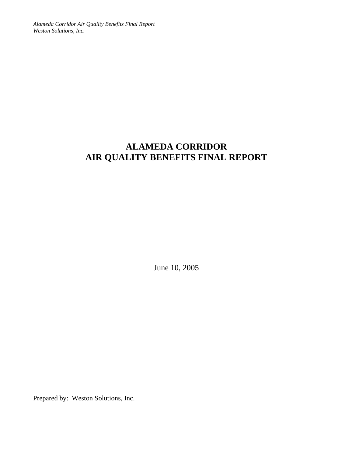*Alameda Corridor Air Quality Benefits Final Report Weston Solutions, Inc.* 

# **ALAMEDA CORRIDOR AIR QUALITY BENEFITS FINAL REPORT**

June 10, 2005

Prepared by: Weston Solutions, Inc.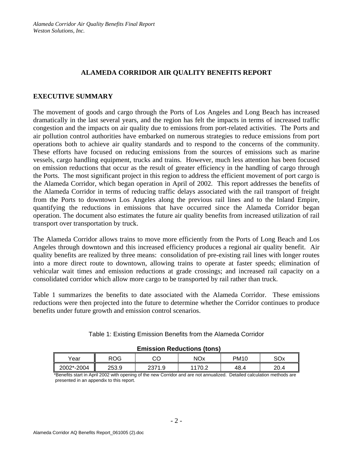### **ALAMEDA CORRIDOR AIR QUALITY BENEFITS REPORT**

#### **EXECUTIVE SUMMARY**

The movement of goods and cargo through the Ports of Los Angeles and Long Beach has increased dramatically in the last several years, and the region has felt the impacts in terms of increased traffic congestion and the impacts on air quality due to emissions from port-related activities. The Ports and air pollution control authorities have embarked on numerous strategies to reduce emissions from port operations both to achieve air quality standards and to respond to the concerns of the community. These efforts have focused on reducing emissions from the sources of emissions such as marine vessels, cargo handling equipment, trucks and trains. However, much less attention has been focused on emission reductions that occur as the result of greater efficiency in the handling of cargo through the Ports. The most significant project in this region to address the efficient movement of port cargo is the Alameda Corridor, which began operation in April of 2002. This report addresses the benefits of the Alameda Corridor in terms of reducing traffic delays associated with the rail transport of freight from the Ports to downtown Los Angeles along the previous rail lines and to the Inland Empire, quantifying the reductions in emissions that have occurred since the Alameda Corridor began operation. The document also estimates the future air quality benefits from increased utilization of rail transport over transportation by truck.

The Alameda Corridor allows trains to move more efficiently from the Ports of Long Beach and Los Angeles through downtown and this increased efficiency produces a regional air quality benefit. Air quality benefits are realized by three means: consolidation of pre-existing rail lines with longer routes into a more direct route to downtown, allowing trains to operate at faster speeds; elimination of vehicular wait times and emission reductions at grade crossings; and increased rail capacity on a consolidated corridor which allow more cargo to be transported by rail rather than truck.

Table 1 summarizes the benefits to date associated with the Alameda Corridor. These emissions reductions were then projected into the future to determine whether the Corridor continues to produce benefits under future growth and emission control scenarios.

| <b>Emission Reductions (tons)</b> |     |        |        |             |      |  |  |  |  |  |  |
|-----------------------------------|-----|--------|--------|-------------|------|--|--|--|--|--|--|
| Year                              | ROG |        | NOx    | <b>PM10</b> | SOx  |  |  |  |  |  |  |
| 2002*-2004<br>253.9               |     | 2371.9 | 1170.2 | 48.4        | 20.4 |  |  |  |  |  |  |

Table 1: Existing Emission Benefits from the Alameda Corridor

\*Benefits start in April 2002 with opening of the new Corridor and are not annualized. Detailed calculation methods are presented in an appendix to this report.

#### **Emission Reductions (tons)**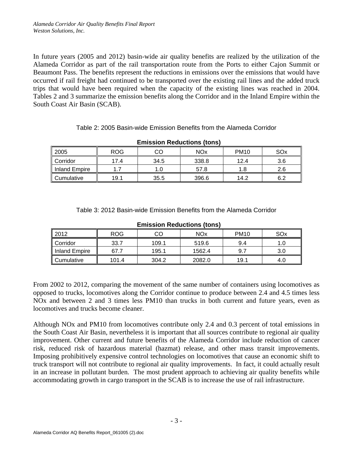In future years (2005 and 2012) basin-wide air quality benefits are realized by the utilization of the Alameda Corridor as part of the rail transportation route from the Ports to either Cajon Summit or Beaumont Pass. The benefits represent the reductions in emissions over the emissions that would have occurred if rail freight had continued to be transported over the existing rail lines and the added truck trips that would have been required when the capacity of the existing lines was reached in 2004. Tables 2 and 3 summarize the emission benefits along the Corridor and in the Inland Empire within the South Coast Air Basin (SCAB).

#### Table 2: 2005 Basin-wide Emission Benefits from the Alameda Corridor

| 2005                 | <b>ROG</b> | CO   | <b>NOx</b> | <b>PM10</b> | SOx |
|----------------------|------------|------|------------|-------------|-----|
| Corridor             | 17.4       | 34.5 | 338.8      | 12.4        | 3.6 |
| <b>Inland Empire</b> |            | 1.0  | 57.8       | 1.8         | 2.6 |
| Cumulative           | 19.1       | 35.5 | 396.6      | 14.2        | 6.2 |

**Emission Reductions (tons)**

| Table 3: 2012 Basin-wide Emission Benefits from the Alameda Corridor |
|----------------------------------------------------------------------|
|                                                                      |

| 2012          | <b>ROG</b>    | CO    | <b>NO<sub>x</sub></b> | <b>PM10</b> | SO <sub>x</sub> |  |  |  |  |  |  |  |
|---------------|---------------|-------|-----------------------|-------------|-----------------|--|--|--|--|--|--|--|
| Corridor      | 33.7          | 109.1 | 519.6                 | 9.4         |                 |  |  |  |  |  |  |  |
| Inland Empire | 67.7<br>195.1 |       | 1562.4                | 9.7         | 3.0             |  |  |  |  |  |  |  |
| Cumulative    | 101.4         | 304.2 | 2082.0                | 19.1        | 4.0             |  |  |  |  |  |  |  |

#### **Emission Reductions (tons)**

From 2002 to 2012, comparing the movement of the same number of containers using locomotives as opposed to trucks, locomotives along the Corridor continue to produce between 2.4 and 4.5 times less NOx and between 2 and 3 times less PM10 than trucks in both current and future years, even as locomotives and trucks become cleaner.

Although NOx and PM10 from locomotives contribute only 2.4 and 0.3 percent of total emissions in the South Coast Air Basin, nevertheless it is important that all sources contribute to regional air quality improvement. Other current and future benefits of the Alameda Corridor include reduction of cancer risk, reduced risk of hazardous material (hazmat) release, and other mass transit improvements. Imposing prohibitively expensive control technologies on locomotives that cause an economic shift to truck transport will not contribute to regional air quality improvements. In fact, it could actually result in an increase in pollutant burden. The most prudent approach to achieving air quality benefits while accommodating growth in cargo transport in the SCAB is to increase the use of rail infrastructure.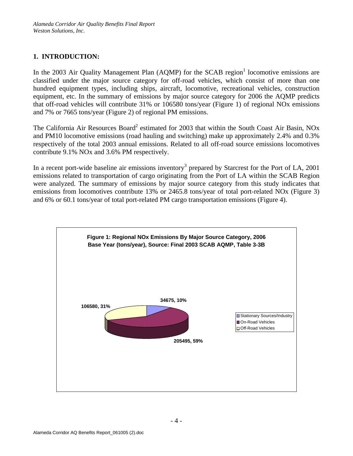## **1. INTRODUCTION:**

In the 2003 Air Quality Management Plan  $(AQMP)$  for the SCAB region<sup>1</sup> locomotive emissions are classified under the major source category for off-road vehicles, which consist of more than one hundred equipment types, including ships, aircraft, locomotive, recreational vehicles, construction equipment, etc. In the summary of emissions by major source category for 2006 the AQMP predicts that off-road vehicles will contribute 31% or 106580 tons/year (Figure 1) of regional NOx emissions and 7% or 7665 tons/year (Figure 2) of regional PM emissions.

The California Air Resources Board<sup>2</sup> estimated for 2003 that within the South Coast Air Basin, NOx and PM10 locomotive emissions (road hauling and switching) make up approximately 2.4% and 0.3% respectively of the total 2003 annual emissions. Related to all off-road source emissions locomotives contribute 9.1% NOx and 3.6% PM respectively.

In a recent port-wide baseline air emissions inventory<sup>3</sup> prepared by Starcrest for the Port of LA, 2001 emissions related to transportation of cargo originating from the Port of LA within the SCAB Region were analyzed. The summary of emissions by major source category from this study indicates that emissions from locomotives contribute 13% or 2465.8 tons/year of total port-related NOx (Figure 3) and 6% or 60.1 tons/year of total port-related PM cargo transportation emissions (Figure 4).

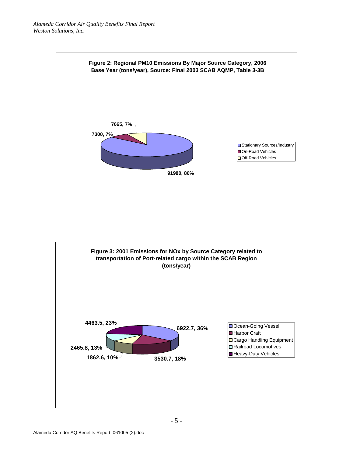

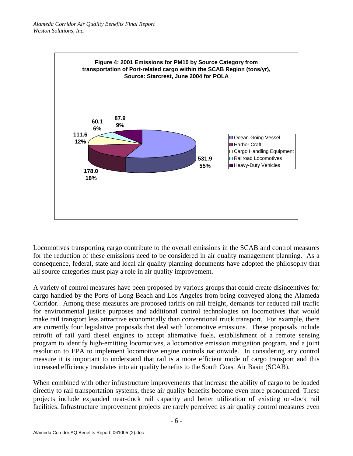

Locomotives transporting cargo contribute to the overall emissions in the SCAB and control measures for the reduction of these emissions need to be considered in air quality management planning. As a consequence, federal, state and local air quality planning documents have adopted the philosophy that all source categories must play a role in air quality improvement.

A variety of control measures have been proposed by various groups that could create disincentives for cargo handled by the Ports of Long Beach and Los Angeles from being conveyed along the Alameda Corridor. Among these measures are proposed tariffs on rail freight, demands for reduced rail traffic for environmental justice purposes and additional control technologies on locomotives that would make rail transport less attractive economically than conventional truck transport. For example, there are currently four legislative proposals that deal with locomotive emissions. These proposals include retrofit of rail yard diesel engines to accept alternative fuels, establishment of a remote sensing program to identify high-emitting locomotives, a locomotive emission mitigation program, and a joint resolution to EPA to implement locomotive engine controls nationwide. In considering any control measure it is important to understand that rail is a more efficient mode of cargo transport and this increased efficiency translates into air quality benefits to the South Coast Air Basin (SCAB).

When combined with other infrastructure improvements that increase the ability of cargo to be loaded directly to rail transportation systems, these air quality benefits become even more pronounced. These projects include expanded near-dock rail capacity and better utilization of existing on-dock rail facilities. Infrastructure improvement projects are rarely perceived as air quality control measures even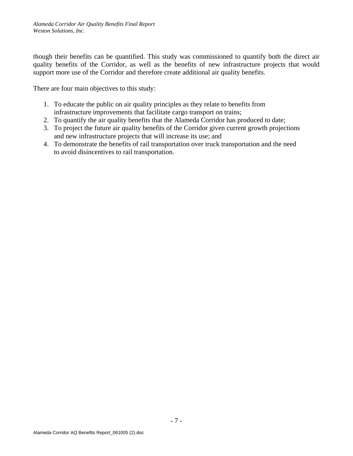though their benefits can be quantified. This study was commissioned to quantify both the direct air quality benefits of the Corridor, as well as the benefits of new infrastructure projects that would support more use of the Corridor and therefore create additional air quality benefits.

There are four main objectives to this study:

- 1. To educate the public on air quality principles as they relate to benefits from infrastructure improvements that facilitate cargo transport on trains;
- 2. To quantify the air quality benefits that the Alameda Corridor has produced to date;
- 3. To project the future air quality benefits of the Corridor given current growth projections and new infrastructure projects that will increase its use; and
- 4. To demonstrate the benefits of rail transportation over truck transportation and the need to avoid disincentives to rail transportation.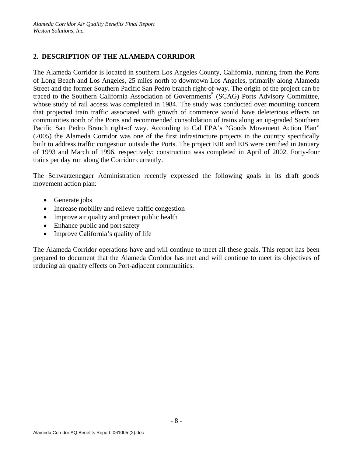### **2. DESCRIPTION OF THE ALAMEDA CORRIDOR**

The Alameda Corridor is located in southern Los Angeles County, California, running from the Ports of Long Beach and Los Angeles, 25 miles north to downtown Los Angeles, primarily along Alameda Street and the former Southern Pacific San Pedro branch right-of-way. The origin of the project can be traced to the Southern California Association of Governments<sup>5</sup> (SCAG) Ports Advisory Committee, whose study of rail access was completed in 1984. The study was conducted over mounting concern that projected train traffic associated with growth of commerce would have deleterious effects on communities north of the Ports and recommended consolidation of trains along an up-graded Southern Pacific San Pedro Branch right-of way. According to Cal EPA's "Goods Movement Action Plan" (2005) the Alameda Corridor was one of the first infrastructure projects in the country specifically built to address traffic congestion outside the Ports. The project EIR and EIS were certified in January of 1993 and March of 1996, respectively; construction was completed in April of 2002. Forty-four trains per day run along the Corridor currently.

The Schwarzenegger Administration recently expressed the following goals in its draft goods movement action plan:

- Generate jobs
- Increase mobility and relieve traffic congestion
- Improve air quality and protect public health
- Enhance public and port safety
- Improve California's quality of life

The Alameda Corridor operations have and will continue to meet all these goals. This report has been prepared to document that the Alameda Corridor has met and will continue to meet its objectives of reducing air quality effects on Port-adjacent communities.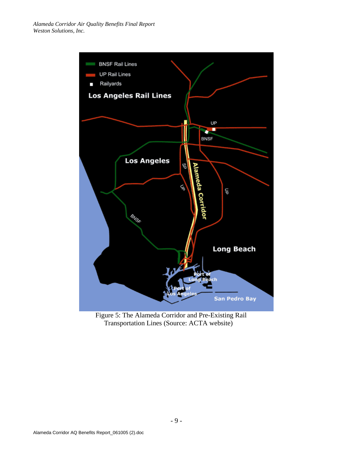

Figure 5: The Alameda Corridor and Pre-Existing Rail Transportation Lines (Source: ACTA website)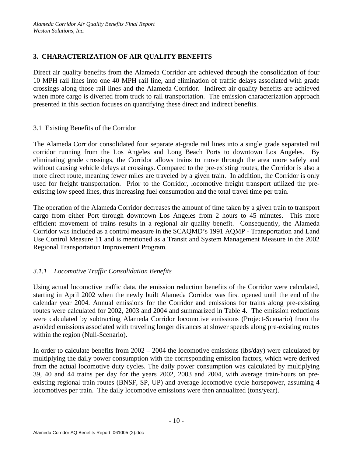### **3. CHARACTERIZATION OF AIR QUALITY BENEFITS**

Direct air quality benefits from the Alameda Corridor are achieved through the consolidation of four 10 MPH rail lines into one 40 MPH rail line, and elimination of traffic delays associated with grade crossings along those rail lines and the Alameda Corridor. Indirect air quality benefits are achieved when more cargo is diverted from truck to rail transportation. The emission characterization approach presented in this section focuses on quantifying these direct and indirect benefits.

### 3.1 Existing Benefits of the Corridor

The Alameda Corridor consolidated four separate at-grade rail lines into a single grade separated rail corridor running from the Los Angeles and Long Beach Ports to downtown Los Angeles. By eliminating grade crossings, the Corridor allows trains to move through the area more safely and without causing vehicle delays at crossings. Compared to the pre-existing routes, the Corridor is also a more direct route, meaning fewer miles are traveled by a given train. In addition, the Corridor is only used for freight transportation. Prior to the Corridor, locomotive freight transport utilized the preexisting low speed lines, thus increasing fuel consumption and the total travel time per train.

The operation of the Alameda Corridor decreases the amount of time taken by a given train to transport cargo from either Port through downtown Los Angeles from 2 hours to 45 minutes. This more efficient movement of trains results in a regional air quality benefit. Consequently, the Alameda Corridor was included as a control measure in the SCAQMD's 1991 AQMP - Transportation and Land Use Control Measure 11 and is mentioned as a Transit and System Management Measure in the 2002 Regional Transportation Improvement Program.

## *3.1.1 Locomotive Traffic Consolidation Benefits*

Using actual locomotive traffic data, the emission reduction benefits of the Corridor were calculated, starting in April 2002 when the newly built Alameda Corridor was first opened until the end of the calendar year 2004. Annual emissions for the Corridor and emissions for trains along pre-existing routes were calculated for 2002, 2003 and 2004 and summarized in Table 4. The emission reductions were calculated by subtracting Alameda Corridor locomotive emissions (Project-Scenario) from the avoided emissions associated with traveling longer distances at slower speeds along pre-existing routes within the region (Null-Scenario).

In order to calculate benefits from 2002 – 2004 the locomotive emissions (lbs/day) were calculated by multiplying the daily power consumption with the corresponding emission factors, which were derived from the actual locomotive duty cycles. The daily power consumption was calculated by multiplying 39, 40 and 44 trains per day for the years 2002, 2003 and 2004, with average train-hours on preexisting regional train routes (BNSF, SP, UP) and average locomotive cycle horsepower, assuming 4 locomotives per train. The daily locomotive emissions were then annualized (tons/year).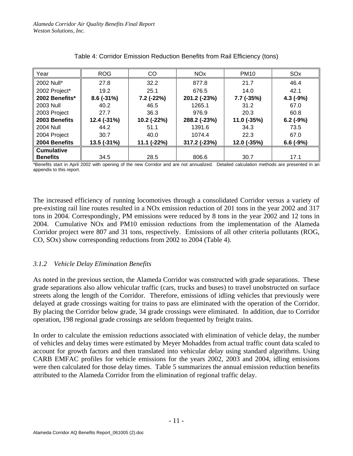| Year              | <b>ROG</b>                   | CO           | <b>NO<sub>x</sub></b> | <b>PM10</b>  | SO <sub>x</sub> |  |
|-------------------|------------------------------|--------------|-----------------------|--------------|-----------------|--|
| 2002 Null*        | 27.8                         | 32.2         | 877.8                 | 21.7         | 46.4            |  |
| 2002 Project*     | 19.2                         | 25.1         | 676.5                 | 14.0         | 42.1            |  |
| 2002 Benefits*    | $8.6(-31%)$                  | $7.2$ (-22%) | 201.2 (-23%)          | $7.7$ (-35%) | $4.3$ (-9%)     |  |
| <b>2003 Null</b>  | 40.2                         | 46.5         | 1265.1                | 31.2         | 67.0            |  |
| 2003 Project      | 27.7                         | 36.3         | 976.9                 | 20.3         | 60.8            |  |
| 2003 Benefits     | 12.4 (-31%)                  | 10.2 (-22%)  | 288.2 (-23%)          | 11.0 (-35%)  | $6.2$ (-9%)     |  |
| <b>2004 Null</b>  | 44.2                         | 51.1         | 1391.6                | 34.3         | 73.5            |  |
| 2004 Project      | 30.7                         | 40.0         | 1074.4                | 22.3         | 67.0            |  |
| 2004 Benefits     | 13.5 (-31%)<br>$11.1 (-22%)$ |              | 317.2 (-23%)          | 12.0 (-35%)  | $6.6(-9%)$      |  |
| <b>Cumulative</b> |                              |              |                       |              |                 |  |
| <b>Benefits</b>   | 34.5                         | 28.5         | 806.6                 | 30.7         | 17.1            |  |

Table 4: Corridor Emission Reduction Benefits from Rail Efficiency (tons)

\*Benefits start in April 2002 with opening of the new Corridor and are not annualized. Detailed calculation methods are presented in an appendix to this report.

The increased efficiency of running locomotives through a consolidated Corridor versus a variety of pre-existing rail line routes resulted in a NOx emission reduction of 201 tons in the year 2002 and 317 tons in 2004. Correspondingly, PM emissions were reduced by 8 tons in the year 2002 and 12 tons in 2004. Cumulative NOx and PM10 emission reductions from the implementation of the Alameda Corridor project were 807 and 31 tons, respectively. Emissions of all other criteria pollutants (ROG, CO, SOx) show corresponding reductions from 2002 to 2004 (Table 4).

### *3.1.2 Vehicle Delay Elimination Benefits*

As noted in the previous section, the Alameda Corridor was constructed with grade separations. These grade separations also allow vehicular traffic (cars, trucks and buses) to travel unobstructed on surface streets along the length of the Corridor. Therefore, emissions of idling vehicles that previously were delayed at grade crossings waiting for trains to pass are eliminated with the operation of the Corridor. By placing the Corridor below grade, 34 grade crossings were eliminated. In addition, due to Corridor operation, 198 regional grade crossings are seldom frequented by freight trains.

In order to calculate the emission reductions associated with elimination of vehicle delay, the number of vehicles and delay times were estimated by Meyer Mohaddes from actual traffic count data scaled to account for growth factors and then translated into vehicular delay using standard algorithms. Using CARB EMFAC profiles for vehicle emissions for the years 2002, 2003 and 2004, idling emissions were then calculated for those delay times. Table 5 summarizes the annual emission reduction benefits attributed to the Alameda Corridor from the elimination of regional traffic delay.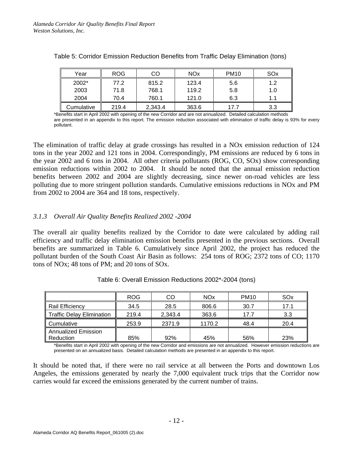| Year       | <b>ROG</b> | CO      |       | <b>PM10</b> | SOx |
|------------|------------|---------|-------|-------------|-----|
| 2002*      | 77.2       | 815.2   | 123.4 | 5.6         | 1.2 |
| 2003       | 71.8       | 768.1   | 119.2 | 5.8         | 1.0 |
| 2004       | 70.4       | 760.1   | 121.0 | 6.3         | 1.1 |
| Cumulative | 219.4      | 2,343.4 | 363.6 | 17.7        | 3.3 |

| Table 5: Corridor Emission Reduction Benefits from Traffic Delay Elimination (tons) |  |  |  |
|-------------------------------------------------------------------------------------|--|--|--|
|                                                                                     |  |  |  |
|                                                                                     |  |  |  |

\*Benefits start in April 2002 with opening of the new Corridor and are not annualized. Detailed calculation methods are presented in an appendix to this report. The emission reduction associated with elimination of traffic delay is 93% for every pollutant.

The elimination of traffic delay at grade crossings has resulted in a NOx emission reduction of 124 tons in the year 2002 and 121 tons in 2004. Correspondingly, PM emissions are reduced by 6 tons in the year 2002 and 6 tons in 2004. All other criteria pollutants (ROG, CO, SOx) show corresponding emission reductions within 2002 to 2004. It should be noted that the annual emission reduction benefits between 2002 and 2004 are slightly decreasing, since newer on-road vehicles are less polluting due to more stringent pollution standards. Cumulative emissions reductions in NOx and PM from 2002 to 2004 are 364 and 18 tons, respectively.

### *3.1.3 Overall Air Quality Benefits Realized 2002 -2004*

The overall air quality benefits realized by the Corridor to date were calculated by adding rail efficiency and traffic delay elimination emission benefits presented in the previous sections. Overall benefits are summarized in Table 6. Cumulatively since April 2002, the project has reduced the pollutant burden of the South Coast Air Basin as follows: 254 tons of ROG; 2372 tons of CO; 1170 tons of NOx; 48 tons of PM; and 20 tons of SOx.

|                                         | <b>ROG</b> | CO      | <b>NO<sub>x</sub></b> | <b>PM10</b> | SO <sub>x</sub> |
|-----------------------------------------|------------|---------|-----------------------|-------------|-----------------|
| Rail Efficiency                         | 34.5       | 28.5    | 806.6                 | 30.7        | 17.1            |
| <b>Traffic Delay Elimination</b>        | 219.4      | 2,343.4 | 363.6                 | 17.7        | 3.3             |
| Cumulative                              | 253.9      | 2371.9  | 1170.2                | 48.4        | 20.4            |
| Annualized Emission<br><b>Reduction</b> | 85%        | 92%     | 45%                   | 56%         | 23%             |

\*Benefits start in April 2002 with opening of the new Corridor and emissions are not annualized. However emission reductions are presented on an annualized basis. Detailed calculation methods are presented in an appendix to this report.

It should be noted that, if there were no rail service at all between the Ports and downtown Los Angeles, the emissions generated by nearly the 7,000 equivalent truck trips that the Corridor now carries would far exceed the emissions generated by the current number of trains.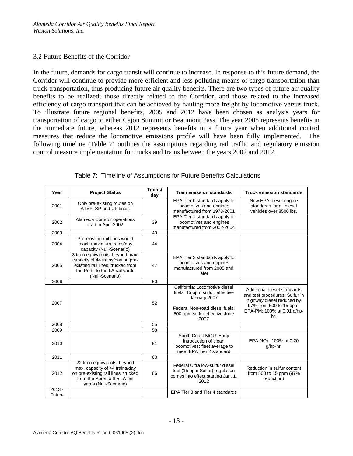#### 3.2 Future Benefits of the Corridor

In the future, demands for cargo transit will continue to increase. In response to this future demand, the Corridor will continue to provide more efficient and less polluting means of cargo transportation than truck transportation, thus producing future air quality benefits. There are two types of future air quality benefits to be realized; those directly related to the Corridor, and those related to the increased efficiency of cargo transport that can be achieved by hauling more freight by locomotive versus truck. To illustrate future regional benefits, 2005 and 2012 have been chosen as analysis years for transportation of cargo to either Cajon Summit or Beaumont Pass. The year 2005 represents benefits in the immediate future, whereas 2012 represents benefits in a future year when additional control measures that reduce the locomotive emissions profile will have been fully implemented. The following timeline (Table 7) outlines the assumptions regarding rail traffic and regulatory emission control measure implementation for trucks and trains between the years 2002 and 2012.

| Year               | <b>Project Status</b>                                                                                                                                           | Trains/<br>day | <b>Train emission standards</b>                                                                                                                             | <b>Truck emission standards</b>                                                                                                                            |
|--------------------|-----------------------------------------------------------------------------------------------------------------------------------------------------------------|----------------|-------------------------------------------------------------------------------------------------------------------------------------------------------------|------------------------------------------------------------------------------------------------------------------------------------------------------------|
| 2001               | Only pre-existing routes on<br>ATSF, SP and UP lines.                                                                                                           |                | EPA Tier 0 standards apply to<br>locomotives and engines<br>manufactured from 1973-2001                                                                     | New EPA diesel engine<br>standards for all diesel<br>vehicles over 8500 lbs.                                                                               |
| 2002               | Alameda Corridor operations<br>start in April 2002                                                                                                              | 39             | EPA Tier 1 standards apply to<br>locomotives and engines<br>manufactured from 2002-2004                                                                     |                                                                                                                                                            |
| 2003               |                                                                                                                                                                 | 40             |                                                                                                                                                             |                                                                                                                                                            |
| 2004               | Pre-existing rail lines would<br>reach maximum trains/day<br>capacity (Null-Scenario)                                                                           | 44             |                                                                                                                                                             |                                                                                                                                                            |
| 2005               | 3 train equivalents, beyond max.<br>capacity of 44 trains/day on pre-<br>existing rail lines, trucked from<br>the Ports to the LA rail yards<br>(Null-Scenario) | 47             | EPA Tier 2 standards apply to<br>locomotives and engines<br>manufactured from 2005 and<br>later                                                             |                                                                                                                                                            |
| 2006               |                                                                                                                                                                 | 50             |                                                                                                                                                             |                                                                                                                                                            |
| 2007               |                                                                                                                                                                 | 52             | California: Locomotive diesel<br>fuels: 15 ppm sulfur, effective<br>January 2007<br>Federal Non-road diesel fuels:<br>500 ppm sulfur effective June<br>2007 | Additional diesel standards<br>and test procedures: Sulfur in<br>highway diesel reduced by<br>97% from 500 to 15 ppm.<br>EPA-PM: 100% at 0.01 g/hp-<br>hr. |
| 2008               |                                                                                                                                                                 | 55             |                                                                                                                                                             |                                                                                                                                                            |
| 2009               |                                                                                                                                                                 | 58             |                                                                                                                                                             |                                                                                                                                                            |
| 2010               |                                                                                                                                                                 | 61             | South Coast MOU: Early<br>introduction of clean<br>locomotives: fleet average to<br>meet EPA Tier 2 standard                                                | EPA-NOx: 100% at 0.20<br>g/hp-hr.                                                                                                                          |
| 2011               |                                                                                                                                                                 | 63             |                                                                                                                                                             |                                                                                                                                                            |
| 2012               | 22 train equivalents, beyond<br>max. capacity of 44 trains/day<br>on pre-existing rail lines, trucked<br>from the Ports to the LA rail<br>yards (Null-Scenario) | 66             | Federal Ultra low-sulfur diesel<br>fuel (15 ppm Sulfur) regulation<br>comes into effect starting Jan. 1,<br>2012                                            | Reduction in sulfur content<br>from 500 to 15 ppm (97%<br>reduction)                                                                                       |
| $2013 -$<br>Future |                                                                                                                                                                 |                | EPA Tier 3 and Tier 4 standards                                                                                                                             |                                                                                                                                                            |

Table 7: Timeline of Assumptions for Future Benefits Calculations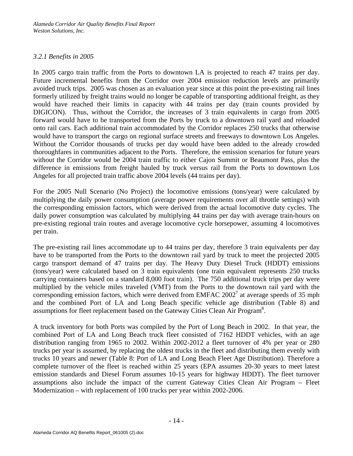### *3.2.1 Benefits in 2005*

In 2005 cargo train traffic from the Ports to downtown LA is projected to reach 47 trains per day. Future incremental benefits from the Corridor over 2004 emission reduction levels are primarily avoided truck trips. 2005 was chosen as an evaluation year since at this point the pre-existing rail lines formerly utilized by freight trains would no longer be capable of transporting additional freight, as they would have reached their limits in capacity with 44 trains per day (train counts provided by DIGICON). Thus, without the Corridor, the increases of 3 train equivalents in cargo from 2005 forward would have to be transported from the Ports by truck to a downtown rail yard and reloaded onto rail cars. Each additional train accommodated by the Corridor replaces 250 trucks that otherwise would have to transport the cargo on regional surface streets and freeways to downtown Los Angeles. Without the Corridor thousands of trucks per day would have been added to the already crowded thoroughfares in communities adjacent to the Ports. Therefore, the emission scenarios for future years without the Corridor would be 2004 train traffic to either Cajon Summit or Beaumont Pass, plus the difference in emissions from freight hauled by truck versus rail from the Ports to downtown Los Angeles for all projected train traffic above 2004 levels (44 trains per day).

For the 2005 Null Scenario (No Project) the locomotive emissions (tons/year) were calculated by multiplying the daily power consumption (average power requirements over all throttle settings) with the corresponding emission factors, which were derived from the actual locomotive duty cycles. The daily power consumption was calculated by multiplying 44 trains per day with average train-hours on pre-existing regional train routes and average locomotive cycle horsepower, assuming 4 locomotives per train.

The pre-existing rail lines accommodate up to 44 trains per day, therefore 3 train equivalents per day have to be transported from the Ports to the downtown rail yard by truck to meet the projected 2005 cargo transport demand of 47 trains per day. The Heavy Duty Diesel Truck (HDDT) emissions (tons/year) were calculated based on 3 train equivalents (one train equivalent represents 250 trucks carrying containers based on a standard 8,000 foot train). The 750 additional truck trips per day were multiplied by the vehicle miles traveled (VMT) from the Ports to the downtown rail yard with the corresponding emission factors, which were derived from EMFAC  $2002<sup>7</sup>$  at average speeds of 35 mph and the combined Port of LA and Long Beach specific vehicle age distribution (Table 8) and assumptions for fleet replacement based on the Gateway Cities Clean Air Program<sup>8</sup>.

A truck inventory for both Ports was compiled by the Port of Long Beach in 2002. In that year, the combined Port of LA and Long Beach truck fleet consisted of 7162 HDDT vehicles, with an age distribution ranging from 1965 to 2002. Within 2002-2012 a fleet turnover of 4% per year or 280 trucks per year is assumed, by replacing the oldest trucks in the fleet and distributing them evenly with trucks 10 years and newer (Table 8: Port of LA and Long Beach Fleet Age Distribution). Therefore a complete turnover of the fleet is reached within 25 years (EPA assumes 20-30 years to meet latest emission standards and Diesel Forum assumes 10-15 years for highway HDDT). The fleet turnover assumptions also include the impact of the current Gateway Cities Clean Air Program – Fleet Modernization – with replacement of 100 trucks per year within 2002-2006.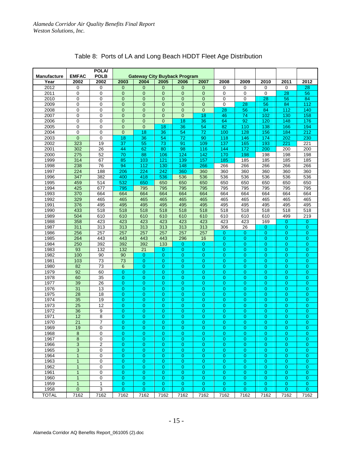|                    |                 | <b>POLA/</b>    |                 |                                     |                 |                |                  |                |                 |                 |                  |                |
|--------------------|-----------------|-----------------|-----------------|-------------------------------------|-----------------|----------------|------------------|----------------|-----------------|-----------------|------------------|----------------|
| <b>Manufacture</b> | <b>EMFAC</b>    | <b>POLB</b>     |                 | <b>Gateway City Buyback Program</b> |                 |                |                  |                |                 |                 |                  |                |
| Year               | 2002            | 2002            | 2003            | 2004                                | 2005            | 2006           | 2007             | 2008           | 2009            | 2010            | 2011             | 2012           |
| 2012               | 0               | 0               | $\overline{0}$  | $\mathbf{0}$                        | $\mathbf 0$     | $\mathbf{0}$   | $\mathbf{0}$     | 0              | 0               | 0               | 0                | 28             |
| 2011               | 0               | 0               | $\mathbf 0$     | $\mathbf 0$                         | $\mathbf 0$     | $\mathbf{0}$   | $\mathbf{0}$     | 0              | 0               | 0               | 28               | 56             |
| 2010               | 0               | 0               | $\overline{0}$  | $\Omega$                            | $\mathbf{0}$    | $\overline{0}$ | $\overline{0}$   | $\Omega$       | $\Omega$        | $\overline{28}$ | 56               | 84             |
| 2009               | 0               | 0               | $\mathbf 0$     | $\mathbf 0$                         | 0               | 0              | $\overline{0}$   | 0              | 28              | 56              | 84               | 112            |
| 2008               | 0               | 0               | $\overline{0}$  | $\mathbf{0}$                        | $\mathbf{0}$    | $\overline{0}$ | $\mathbf{0}$     | 28             | $\overline{56}$ | 84              | $\overline{112}$ | 140            |
| 2007               | 0               | 0               | $\overline{0}$  | $\overline{0}$                      | $\overline{0}$  | $\overline{0}$ | 18               | 46             | 74              | 102             | 130              | 158            |
| 2006               | 0               | 0               | $\overline{0}$  | $\overline{0}$                      | $\overline{0}$  | 18             | 36               | 64             | 92              | 120             | 148              | 176            |
| 2005               | $\mathbf 0$     | 0               | $\overline{0}$  | $\mathbf 0$                         | 18              | 36             | 54               | 82             | 110             | 138             | 166              | 194            |
| 2004               | 0               | 0               | $\overline{0}$  | 18                                  | 36              | 54             | $\overline{72}$  | 100            | 128             | 156             | 184              | 212            |
| 2003               | $\overline{0}$  | 0               | 18              | 36                                  | 54              | 72             | 90               | 118            | 146             | 174             | 202              | 230            |
| 2002               | 323             | 19              | $\overline{37}$ | 55                                  | $\overline{73}$ | 91             | 109              | 137            | 165             | 193             | 221              | 221            |
| 2001               | 302             | $\overline{26}$ |                 | 62                                  | 80              |                |                  |                |                 | 200             | 200              | 200            |
|                    |                 |                 | 44              |                                     |                 | 98             | 116              | 144            | 172             |                 |                  |                |
| 2000               | 275             | 52              | $\overline{70}$ | 88                                  | 106             | 124            | 142              | 170            | 198             | 198             | 198              | 198            |
| 1999               | 314             | 67              | 85              | 103                                 | 121             | 139            | 157              | 185            | 185             | 185             | 185              | 185            |
| 1998               | 238             | 76              | 94              | 112                                 | 130             | 148            | 266              | 266            | 266             | 266             | 266              | 266            |
| 1997               | 224             | 188             | 206             | 224                                 | 242             | 360            | 360              | 360            | 360             | 360             | 360              | 360            |
| 1996               | 347             | 382             | 400             | 418                                 | 536             | 536            | 536              | 536            | 536             | 536             | 536              | 536            |
| 1995               | 459             | 514             | 532             | 650                                 | 650             | 650            | 650              | 650            | 650             | 650             | 650              | 650            |
| 1994               | 425             | 677             | 795             | 795                                 | 795             | 795            | 795              | 795            | 795             | 795             | 795              | 795            |
| 1993               | 370             | 664             | 664             | 664                                 | 664             | 664            | 664              | 664            | 664             | 664             | 664              | 664            |
| 1992               | 329             | 465             | 465             | 465                                 | 465             | 465            | 465              | 465            | 465             | 465             | 465              | 465            |
| 1991               | 376             | 495             | 495             | 495                                 | 495             | 495            | 495              | 495            | 495             | 495             | 495              | 495            |
| 1990               | 433             | 518             | 518             | 518                                 | 518             | 518            | $\overline{518}$ | 518            | 518             | 518             | 518              | 518            |
| 1989               | 504             | 610             | 610             | 610                                 | 610             | 610            | 610              | 610            | 610             | 610             | 499              | 219            |
| 1988               | 358             | 423             | 423             | 423                                 | 423             | 423            | 423              | 423            | 423             | 169             | 0                | 0              |
| 1987               | 311             | 313             | 313             | 313                                 | 313             | 313            | 313              | 306            | $\overline{26}$ | 0               | $\overline{0}$   | $\overline{0}$ |
| 1986               | 256             | 257             | 257             | 257                                 | 257             | 257            | 257              | $\overline{0}$ | $\overline{0}$  | $\overline{0}$  | $\overline{0}$   | 0              |
| 1985               | 264             | 443             | 443             | 443                                 | 443             | 296            | 16               | 0              | $\overline{0}$  | 0               | $\overline{0}$   | 0              |
| 1984               | 250             | 392             | 392             | 392                                 | 133             | $\overline{0}$ | $\overline{0}$   | $\overline{0}$ | $\overline{0}$  | $\overline{0}$  | $\Omega$         | $\overline{0}$ |
| 1983               | 93              | 132             | 132             | 21                                  | 0               | $\overline{0}$ | $\overline{0}$   | 0              | $\mathbf 0$     | 0               | $\overline{0}$   | 0              |
| 1982               | 100             | 90              | 90              | $\overline{0}$                      | $\Omega$        | $\overline{0}$ | $\Omega$         | $\overline{0}$ | $\overline{0}$  | $\overline{0}$  | $\Omega$         | $\overline{0}$ |
| 1981               | 103             | 73              | 73              | $\overline{0}$                      | 0               | $\overline{0}$ | $\overline{0}$   | $\overline{0}$ | $\overline{0}$  | $\overline{0}$  | $\overline{0}$   | 0              |
| 1980               | 82              | 73              | 6               | $\overline{0}$                      | $\overline{0}$  | $\overline{0}$ | 0                | $\overline{0}$ | $\overline{0}$  | 0               | $\overline{0}$   | $\overline{0}$ |
| 1979               | $\overline{92}$ | 60              | 0               | $\overline{0}$                      | 0               | $\overline{0}$ | $\overline{0}$   | 0              | 0               | 0               | $\overline{0}$   | 0              |
| 1978               | 60              | $\overline{35}$ | $\overline{0}$  | $\overline{0}$                      | $\overline{0}$  | $\overline{0}$ | $\overline{0}$   | $\overline{0}$ | $\overline{0}$  | 0               | $\Omega$         | $\overline{0}$ |
| 1977               | 39              | 26              | 0               | $\overline{0}$                      | $\overline{0}$  | 0              | $\overline{0}$   | $\overline{0}$ | $\mathbf 0$     | 0               | $\overline{0}$   | 0              |
| 1976               | 31              | 13              | $\overline{0}$  | $\overline{0}$                      |                 |                | $\overline{0}$   |                | $\overline{0}$  | 0               |                  | $\overline{0}$ |
|                    |                 |                 |                 |                                     | $\overline{0}$  | $\overline{0}$ |                  | $\overline{0}$ |                 |                 | $\overline{0}$   |                |
| 1975               | 28              | 18              | 0               | $\mathbf 0$                         | 0               | 0              | $\overline{0}$   | 0              | $\mathbf 0$     | 0               | $\overline{0}$   | 0              |
| 1974               | 35              | 19              | $\overline{0}$  | $\overline{0}$                      | $\overline{0}$  | $\overline{0}$ | $\overline{0}$   | 0              | $\mathbf 0$     | 0               | $\overline{0}$   | $\overline{0}$ |
| 1973               | $\overline{25}$ | $\overline{12}$ | $\overline{0}$  | $\overline{0}$                      | $\overline{0}$  | $\overline{0}$ | $\overline{0}$   | $\overline{0}$ | $\overline{0}$  | 0               | $\overline{0}$   | 0              |
| 1972               | 36              | 9               | 0               | $\overline{0}$                      | $\overline{0}$  | 0              | 0                | $\overline{0}$ | $\overline{0}$  | 0               | $\mathbf{0}$     | 0              |
| 1971               | 12              | $\overline{8}$  | $\overline{0}$  | 0                                   | 0               | $\overline{0}$ | $\overline{0}$   | $\overline{0}$ | 0               | 0               | $\overline{0}$   | $\overline{0}$ |
| 1970               | $\overline{21}$ | 7               | $\overline{0}$  | $\overline{0}$                      | $\overline{0}$  | $\overline{0}$ | $\overline{0}$   | $\overline{0}$ | $\overline{0}$  | 0               | $\overline{0}$   | 0              |
| 1969               | 19              | 0               | 0               | 0                                   | 0               | 0              | 0                | 0              | 0               | 0.              | 0                | 0              |
| 1968               | 8               | 0               | $\overline{0}$  | $\mathbf{0}$                        | $\overline{0}$  | $\mathbf{0}$   | $\mathbf{0}$     | $\mathbf{0}$   | 0               | $\mathbf{0}$    | $\mathbf{0}$     | $\mathbf 0$    |
| 1967               | 8               | 0               | $\overline{0}$  | 0                                   | 0               | 0              | $\overline{0}$   | $\mathbf{0}$   | $\mathbf{0}$    | 0               | $\mathbf{0}$     | 0              |
| 1966               | 3               | 2               | 0               | $\mathbf{0}$                        | $\mathbf{0}$    | 0              | $\mathbf{0}$     | $\mathbf{0}$   | $\mathbf{0}$    | 0               | 0                | 0              |
| 1965               | 3               | 0               | 0               | $\mathbf{0}$                        | $\overline{0}$  | $\overline{0}$ | $\overline{0}$   | $\overline{0}$ | 0               | 0               | $\overline{0}$   | 0              |
| 1964               | $\mathbf{1}$    | 0               | 0               | $\mathbf{0}$                        | 0               | 0              | $\mathbf{0}$     | $\mathbf{0}$   | 0               | 0               | 0                | 0              |
| 1963               | $\mathbf{1}$    | 0               | 0               | $\overline{0}$                      | $\overline{0}$  | $\overline{0}$ | $\overline{0}$   | $\overline{0}$ | 0               | $\overline{0}$  | $\overline{0}$   | 0              |
| 1962               | $\mathbf{1}$    | 0               | 0               | $\mathbf{0}$                        | $\mathbf{0}$    | 0              | $\mathbf{0}$     | 0              | $\mathbf{0}$    | 0               | 0                | 0              |
| 1961               | $\mathbf{1}$    | 0               | 0               | $\mathbf{0}$                        | $\mathbf{0}$    | 0              | $\overline{0}$   | $\mathbf{0}$   | 0               | 0               | $\mathbf{0}$     | 0              |
| 1960               | $\mathbf{1}$    | 0               | 0               | $\mathbf{0}$                        | $\mathbf{0}$    | 0              | $\mathbf{0}$     | $\mathbf{0}$   | $\mathbf{0}$    | $\mathbf{0}$    | $\overline{0}$   | 0              |
| 1959               | $\mathbf{1}$    | 1               | 0               | $\mathbf{0}$                        | 0               | 0              | $\mathbf{0}$     | $\mathbf{0}$   | 0               | 0               | $\mathbf 0$      | $\mathbf{0}$   |
| 1958               | $\mathbf 0$     | 3               | $\overline{0}$  | $\mathbf{0}$                        | $\mathbf{0}$    | 0              | $\overline{0}$   | $\overline{0}$ | 0               | $\overline{0}$  | $\overline{0}$   | $\overline{0}$ |
| <b>TOTAL</b>       | 7162            | 7162            | 7162            | 7162                                | 7162            | 7162           | 7162             | 7162           | 7162            | 7162            | 7162             | 7162           |
|                    |                 |                 |                 |                                     |                 |                |                  |                |                 |                 |                  |                |

## Table 8: Ports of LA and Long Beach HDDT Fleet Age Distribution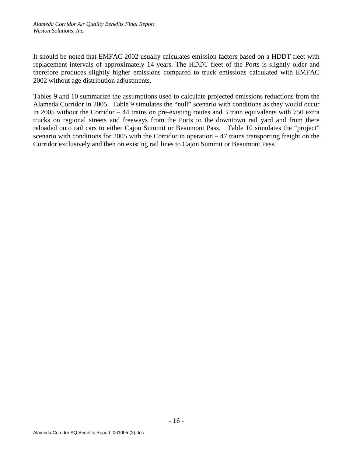It should be noted that EMFAC 2002 usually calculates emission factors based on a HDDT fleet with replacement intervals of approximately 14 years. The HDDT fleet of the Ports is slightly older and therefore produces slightly higher emissions compared to truck emissions calculated with EMFAC 2002 without age distribution adjustments.

Tables 9 and 10 summarize the assumptions used to calculate projected emissions reductions from the Alameda Corridor in 2005. Table 9 simulates the "null" scenario with conditions as they would occur in 2005 without the Corridor – 44 trains on pre-existing routes and 3 train equivalents with 750 extra trucks on regional streets and freeways from the Ports to the downtown rail yard and from there reloaded onto rail cars to either Cajon Summit or Beaumont Pass. Table 10 simulates the "project" scenario with conditions for 2005 with the Corridor in operation  $-47$  trains transporting freight on the Corridor exclusively and then on existing rail lines to Cajon Summit or Beaumont Pass.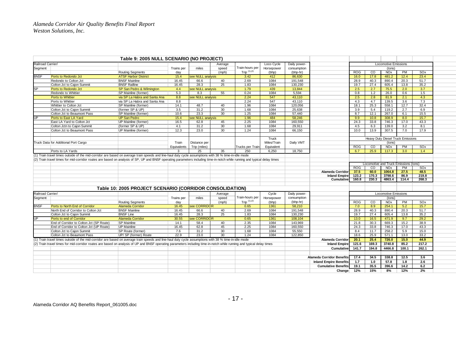|                   |                                                                                                                                                                            | Table 9: 2005 NULL SCENARIO (NO PROJECT)                 |             |                   |                   |                    |             |              |                                  |            |                |                                       |           |                 |  |
|-------------------|----------------------------------------------------------------------------------------------------------------------------------------------------------------------------|----------------------------------------------------------|-------------|-------------------|-------------------|--------------------|-------------|--------------|----------------------------------|------------|----------------|---------------------------------------|-----------|-----------------|--|
| Railroad Carrier/ |                                                                                                                                                                            |                                                          |             |                   | Average           |                    | Loco Cycle  | Daily power- |                                  |            |                | <b>Locomotive Emissions</b>           |           |                 |  |
| Segment           |                                                                                                                                                                            |                                                          | Trains per  | miles             | speed             | Train-hours per    | Horsepower  | consumption  |                                  |            |                | (tons)                                |           |                 |  |
|                   |                                                                                                                                                                            | <b>Routing Segments</b>                                  | day         |                   | (m <sub>D</sub> ) | Trip $(1)$ , $(2)$ | (bhp)       | (bhp-hr)     |                                  | <b>ROG</b> | CO             | <b>NO<sub>x</sub></b>                 | PM        | SOx             |  |
| <b>BNSF</b>       | Ports to Redondo Jct                                                                                                                                                       | <b>ATSF Harbor District</b>                              | 15.4        | see NULL analysis |                   | 3.42               | 412         | 86,630       |                                  | 16.0       | 17.8           | 481.2                                 | 12.4      | 23.4            |  |
|                   | Redondo to Colton Jct                                                                                                                                                      | <b>BNSF Mainline</b>                                     | 16.45       | 66.6              | 40                | 2.69               | 1084        | 191,548      |                                  | 28.9       | 40.3           | 890.4                                 | 20.3      | 51.7            |  |
|                   | Colton Jct to Cajon Summit                                                                                                                                                 | <b>BNSF Railline</b>                                     | 16.45       | 28.3              | 25                | 1.83               | 1084        | 130,230      |                                  | 19.7       | 27.4           | 605.4                                 | 13.8      | 35.2            |  |
| <b>SP</b>         | Ports to Redondo Jct                                                                                                                                                       | SP San Pedro & Wilmington                                | 4.4         | see NULL analysis |                   | 1.79               | 439         | 13.844       |                                  | 2.5        | 2.7            | 75.5                                  | 2.0       | 3.7             |  |
|                   | Redondo to Whittier                                                                                                                                                        | SP Mainline (former)                                     | 5.3         | 8.3               | 55                | 0.24               | 1084        | 5,594        |                                  | 0.8        | 1.2            | 26.0                                  | 0.6       | 1.5             |  |
|                   | <b>Ports to Whittier</b>                                                                                                                                                   | via SP La Habra and Santa Ana                            | 8.8         | see NULL analysis |                   | 2.24               | 547         | 43.110       |                                  | 2.5        | 2.8            | 81.9                                  | 2.1       | 4.3             |  |
|                   | Ports to Whittier                                                                                                                                                          | via SP La Habra and Santa Ana                            | 8.8         |                   |                   | 2.24               | 547         | 43,110       |                                  | 4.3        | 4.7            | 139.5                                 | 3.6       | 7.3             |  |
|                   | Whittier to Colton Jct                                                                                                                                                     | SP Mainline (former)                                     | 14.1        | 48.7              | 40                | 1.96               | 1084        | 120.056      |                                  | 18.1       | 25.3           | 558.1                                 | 12.7      | 32.4            |  |
|                   | Colton Jct to Cajon Summit                                                                                                                                                 | (former SP & UP)                                         | 3.5         | 31.2              | 30                | 1.68               | 1084        | 25,638       |                                  | 3.9        | 5.4            | 119.2                                 | 2.7       | 6.9             |  |
|                   | Colton Jct to Beaumont Pass                                                                                                                                                | SP Mainline (former)                                     | 10.6        | 23.3              | 30                | 1.25               | 1084        | 57,440       |                                  | 8.7        | 12.1           | 267.0                                 | 6.1       | 15.5            |  |
| UP                | Ports to East LA Yard                                                                                                                                                      | <b>UP San Pedro</b>                                      | 15.4        | see NULL analysis |                   | 1.96               | 484         | 58,246       |                                  | 9.9        | 10.8           | 308.9                                 | 8.0       | 15.7            |  |
|                   | East LA Yard to Colton Jct                                                                                                                                                 | UP Mainline (former)                                     | 16.5        | 62.8              | 45                | 2.25               | 1084        | 160,550      |                                  | 24.3       | 33.8           | 746.3                                 | 17.0      | 43.3            |  |
|                   | Colton Jctn to Cajon Summit                                                                                                                                                | (former SP & UP)                                         | 4.1         | 31.2              | 30                | 1.68               | 1084        | 29,911       |                                  | 4.5        | 6.3            | 139.0                                 | 3.2       | 8.1             |  |
|                   | Colton Jct to Beaumont Pass                                                                                                                                                | UP Mainline (former)                                     | 12.3        | 23.0              | 30                | 1.24               | 1084        | 66,150       |                                  | 10.0       | 13.9           | 307.5                                 | 7.0       | 17.9            |  |
|                   |                                                                                                                                                                            |                                                          |             |                   |                   |                    |             |              |                                  |            |                |                                       |           |                 |  |
|                   |                                                                                                                                                                            |                                                          |             |                   |                   |                    | Truck       |              |                                  |            |                | Heavy Duty Diesel Truck Emissions     |           |                 |  |
|                   | Truck Data for Additional Port Cargo                                                                                                                                       |                                                          | Train       | Distance per      |                   |                    | Miles/Train | Daily VMT    |                                  |            |                | (tons)                                |           |                 |  |
|                   |                                                                                                                                                                            |                                                          | Equivalents | Trip (miles)      |                   | Trucks per Train   | Equivalent  |              |                                  | <b>ROG</b> | $\overline{c}$ | <b>NO<sub>x</sub></b>                 | PM        | SOx             |  |
|                   | Ports to LA Yards                                                                                                                                                          |                                                          |             | 25                | 35                | 250                | 6,250       | 18,750       |                                  | 6.7        | 25.9           | 117.3                                 | 3.0       | 1.4             |  |
|                   | (1) Train travel times outside of the mid-corridor are based on average train speeds and line-haul duty cycle assumptions with 38 % time-in-idle mode                      |                                                          |             |                   |                   |                    |             |              |                                  |            |                |                                       |           |                 |  |
|                   | (2) Train travel times for mid-corridor routes are based on analysis of SP, UP and BNSF operating parameters including time-in-notch while running and typical delay times |                                                          |             |                   |                   |                    |             |              |                                  |            |                |                                       |           |                 |  |
|                   |                                                                                                                                                                            |                                                          |             |                   |                   |                    |             |              |                                  |            |                | Locomotive and Truck Emissions (tons) |           |                 |  |
|                   |                                                                                                                                                                            |                                                          |             |                   |                   |                    |             |              |                                  | <b>ROG</b> | $\overline{c}$ | <b>NOx</b>                            | PM        | <b>SOx</b>      |  |
|                   |                                                                                                                                                                            |                                                          |             |                   |                   |                    |             |              | <b>Alameda Corridor</b>          | 37.5       | 60.0           | 1064.8                                | 27.5      | 48.5            |  |
|                   |                                                                                                                                                                            |                                                          |             |                   |                   |                    |             |              | <b>Inland Empire</b>             | 123.2      | 170.3          | 3798.6                                | 86.9      | 219.8           |  |
|                   |                                                                                                                                                                            |                                                          |             |                   |                   |                    |             |              | Cumulative                       | 160.8      | 230.3          | 4863.4                                | 114.4     | 268.3           |  |
|                   |                                                                                                                                                                            |                                                          |             |                   |                   |                    |             |              |                                  |            |                |                                       |           |                 |  |
|                   |                                                                                                                                                                            | Table 10: 2005 PROJECT SCENARIO (CORRIDOR CONSOLIDATION) |             |                   |                   |                    |             |              |                                  |            |                |                                       |           |                 |  |
| Railroad Carrier/ |                                                                                                                                                                            |                                                          |             |                   | Average           |                    | Cycle       | Daily power- |                                  |            |                | <b>Locomotive Emissions</b>           |           |                 |  |
| Segment           |                                                                                                                                                                            |                                                          | Trains per  | miles             | speed             | Train-hours per    | Horsepower  | consumption  |                                  |            |                | (tons)                                |           |                 |  |
|                   |                                                                                                                                                                            | <b>Routing Segments</b>                                  | day         |                   | (mph)             | Trip $(1), (2)$    | (bhp)       | $(bhp-hr)$   |                                  | <b>ROG</b> | $\rm CO$       | <b>NO<sub>x</sub></b>                 | <b>PM</b> | SO <sub>x</sub> |  |
| <b>BNSF</b>       | Ports to North End of Corridor                                                                                                                                             | Alameda Corridor                                         | 16.45       | see CORRIDOR      |                   | 0.65               | 1361        | 58,210       |                                  | 7.0        | 8.9            | 254.1                                 | 5.2       | 15.7            |  |
|                   | North End of Corridor to Colton Jct                                                                                                                                        | <b>BNSF Mainline</b>                                     | 16.45       | 66.6              | 40                | 2.69               | 1084        | 191,548      |                                  | 28.9       | 40.3           | 890.4                                 | 20.3      | 51.7            |  |
|                   | Colton Jct to Cajon Summit                                                                                                                                                 | <b>BNSF Line</b>                                         | 16.45       | 28.3              | 25                | 1.83               | 1084        | 130,230      |                                  | 19.7       | 27.4           | 605.4                                 | 13.8      | 35.2            |  |
| <b>UP</b>         | Ports to end of Corridor                                                                                                                                                   | <b>Alameda Corridor</b>                                  | 30.55       | see CORRIDOR      |                   | 0.65               | 1361        | 108,104      |                                  | 13.0       | 16.5           | 471.9                                 | 9.7       | 29.2            |  |
|                   | End of Corridor to Colton Jct (SP Route)                                                                                                                                   | <b>SP Mainline</b>                                       | 14.1        | 58.4              | 40                | 2.35               | 1084        | 143,969      |                                  | 21.8       | 30.3           | 669.3                                 | 15.2      | 38.9            |  |
|                   | End of Corridor to Colton Jct (UP Route)                                                                                                                                   | <b>UP Mainline</b>                                       | 16.45       | 62.8              | 45                | 2.25               | 1084        | 160,550      |                                  | 24.3       | 33.8           | 746.3                                 | 17.0      | 43.3            |  |
|                   | Colton Jct to Cajon Summit                                                                                                                                                 | SP Route (former)                                        | 7.6         | 31.2              | 30                | 1.68               | 1084        | 55,550       |                                  | 8.4        | 11.7           | 258.2                                 | 5.9       | 15.0            |  |
|                   | Colton Jct to Beaumont Pass                                                                                                                                                | UP/ SP (former) Route                                    | 22.9        | 23.0              | 30                | 1.24               | 1084        | 122.850      |                                  | 18.6       | 25.9           | 571.1                                 | 13.0      | 33.2            |  |
|                   | (1) Train travel times outside of the mid-corridor are based on average train speeds and line-haul duty cycle assumptions with 38 % time-in-idle mode                      |                                                          |             |                   |                   |                    |             |              | <b>Alameda Corridor</b>          | 20.1       | 25.4           | 726.0                                 | 15.0      | 44.9            |  |
|                   | (2) Train travel times for mid-corridor routes are based on analysis of UP and BNSF operating parameters including time-in-notch while running and typical delay times     |                                                          |             |                   |                   |                    |             |              | <b>Inland Empire</b>             | 121.6      | 169.3          | 3740.8                                | 85.2      | 217.2           |  |
|                   |                                                                                                                                                                            |                                                          |             |                   |                   |                    |             |              | Cumulative                       | 141.7      | 194.8          | 4466.8                                | 100.1     | 262.1           |  |
|                   |                                                                                                                                                                            |                                                          |             |                   |                   |                    |             |              |                                  |            |                |                                       |           |                 |  |
|                   |                                                                                                                                                                            |                                                          |             |                   |                   |                    |             |              |                                  |            |                |                                       |           |                 |  |
|                   |                                                                                                                                                                            |                                                          |             |                   |                   |                    |             |              | <b>Alameda Corridor Benefits</b> | 17.4       | 34.5           | 338.8                                 | 12.5      | 3.6             |  |
|                   |                                                                                                                                                                            |                                                          |             |                   |                   |                    |             |              | <b>Inland Empire Benefits</b>    | 1.7        | 1.0            | 57.8                                  | 1.8       | 2.6             |  |
|                   |                                                                                                                                                                            |                                                          |             |                   |                   |                    |             |              | <b>Cumulative Benefits</b>       | 19.1       | 35.5           | 396.6                                 | 14.2      | 6.2             |  |
|                   |                                                                                                                                                                            |                                                          |             |                   |                   |                    |             |              | Change                           | 12%        | 15%            | 8%                                    | 12%       | 2%              |  |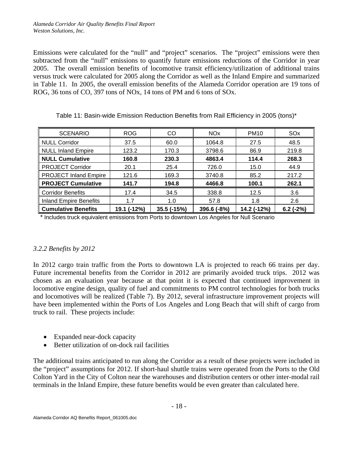Emissions were calculated for the "null" and "project" scenarios. The "project" emissions were then subtracted from the "null" emissions to quantify future emissions reductions of the Corridor in year 2005. The overall emission benefits of locomotive transit efficiency/utilization of additional trains versus truck were calculated for 2005 along the Corridor as well as the Inland Empire and summarized in Table 11. In 2005, the overall emission benefits of the Alameda Corridor operation are 19 tons of ROG, 36 tons of CO, 397 tons of NOx, 14 tons of PM and 6 tons of SOx.

| <b>SCENARIO</b>              | <b>ROG</b>  | CO          | <b>NO<sub>x</sub></b> | <b>PM10</b> | SO <sub>x</sub> |
|------------------------------|-------------|-------------|-----------------------|-------------|-----------------|
| NULL Corridor                | 37.5        | 60.0        | 1064.8                | 27.5        | 48.5            |
| NULL Inland Empire           | 123.2       | 170.3       | 3798.6                | 86.9        | 219.8           |
| NULL Cumulative              | 160.8       | 230.3       | 4863.4                | 114.4       | 268.3           |
| <b>PROJECT Corridor</b>      | 20.1        | 25.4        | 726.0                 | 15.0        | 44.9            |
| <b>PROJECT Inland Empire</b> | 121.6       | 169.3       | 3740.8                | 85.2        | 217.2           |
| <b>PROJECT Cumulative</b>    | 141.7       | 194.8       | 4466.8                | 100.1       | 262.1           |
| Corridor Benefits            | 17.4        | 34.5        | 338.8                 | 12.5        | 3.6             |
| Inland Empire Benefits       | 1.7         | 1.0         | 57.8                  | 1.8         | 2.6             |
| Cumulative Benefits          | 19.1 (-12%) | 35.5 (-15%) | 396.6 (-8%)           | 14.2 (-12%) | $6.2$ (-2%)     |

Table 11: Basin-wide Emission Reduction Benefits from Rail Efficiency in 2005 (tons)\*

\* Includes truck equivalent emissions from Ports to downtown Los Angeles for Null Scenario

### *3.2.2 Benefits by 2012*

In 2012 cargo train traffic from the Ports to downtown LA is projected to reach 66 trains per day. Future incremental benefits from the Corridor in 2012 are primarily avoided truck trips. 2012 was chosen as an evaluation year because at that point it is expected that continued improvement in locomotive engine design, quality of fuel and commitments to PM control technologies for both trucks and locomotives will be realized (Table 7). By 2012, several infrastructure improvement projects will have been implemented within the Ports of Los Angeles and Long Beach that will shift of cargo from truck to rail. These projects include:

- Expanded near-dock capacity
- Better utilization of on-dock rail facilities

The additional trains anticipated to run along the Corridor as a result of these projects were included in the "project" assumptions for 2012. If short-haul shuttle trains were operated from the Ports to the Old Colton Yard in the City of Colton near the warehouses and distribution centers or other inter-modal rail terminals in the Inland Empire, these future benefits would be even greater than calculated here.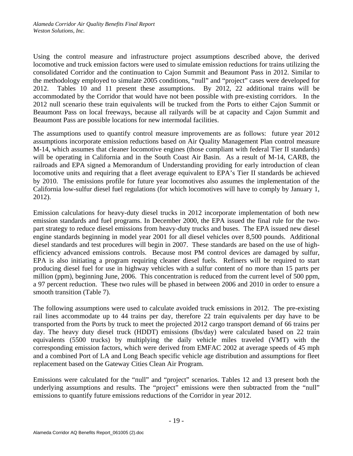Using the control measure and infrastructure project assumptions described above, the derived locomotive and truck emission factors were used to simulate emission reductions for trains utilizing the consolidated Corridor and the continuation to Cajon Summit and Beaumont Pass in 2012. Similar to the methodology employed to simulate 2005 conditions, "null" and "project" cases were developed for 2012. Tables 10 and 11 present these assumptions. By 2012, 22 additional trains will be accommodated by the Corridor that would have not been possible with pre-existing corridors. In the 2012 null scenario these train equivalents will be trucked from the Ports to either Cajon Summit or Beaumont Pass on local freeways, because all railyards will be at capacity and Cajon Summit and Beaumont Pass are possible locations for new intermodal facilities.

The assumptions used to quantify control measure improvements are as follows: future year 2012 assumptions incorporate emission reductions based on Air Quality Management Plan control measure M-14, which assumes that cleaner locomotive engines (those compliant with federal Tier II standards) will be operating in California and in the South Coast Air Basin. As a result of M-14, CARB, the railroads and EPA signed a Memorandum of Understanding providing for early introduction of clean locomotive units and requiring that a fleet average equivalent to EPA's Tier II standards be achieved by 2010. The emissions profile for future year locomotives also assumes the implementation of the California low-sulfur diesel fuel regulations (for which locomotives will have to comply by January 1, 2012).

Emission calculations for heavy-duty diesel trucks in 2012 incorporate implementation of both new emission standards and fuel programs. In December 2000, the EPA issued the final rule for the twopart strategy to reduce diesel emissions from heavy-duty trucks and buses. The EPA issued new diesel engine standards beginning in model year 2001 for all diesel vehicles over 8,500 pounds. Additional diesel standards and test procedures will begin in 2007. These standards are based on the use of highefficiency advanced emissions controls. Because most PM control devices are damaged by sulfur, EPA is also initiating a program requiring cleaner diesel fuels. Refiners will be required to start producing diesel fuel for use in highway vehicles with a sulfur content of no more than 15 parts per million (ppm), beginning June, 2006. This concentration is reduced from the current level of 500 ppm, a 97 percent reduction. These two rules will be phased in between 2006 and 2010 in order to ensure a smooth transition (Table 7).

The following assumptions were used to calculate avoided truck emissions in 2012. The pre-existing rail lines accommodate up to 44 trains per day, therefore 22 train equivalents per day have to be transported from the Ports by truck to meet the projected 2012 cargo transport demand of 66 trains per day. The heavy duty diesel truck (HDDT) emissions (lbs/day) were calculated based on 22 train equivalents (5500 trucks) by multiplying the daily vehicle miles traveled (VMT) with the corresponding emission factors, which were derived from EMFAC 2002 at average speeds of 45 mph and a combined Port of LA and Long Beach specific vehicle age distribution and assumptions for fleet replacement based on the Gateway Cities Clean Air Program.

Emissions were calculated for the "null" and "project" scenarios. Tables 12 and 13 present both the underlying assumptions and results. The "project" emissions were then subtracted from the "null" emissions to quantify future emissions reductions of the Corridor in year 2012.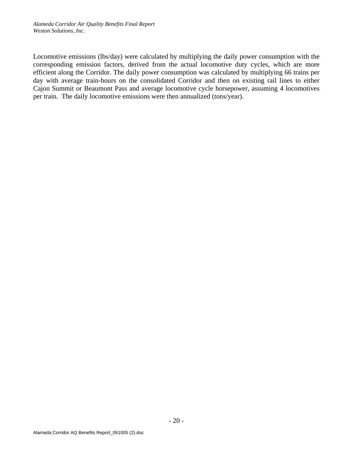Locomotive emissions (lbs/day) were calculated by multiplying the daily power consumption with the corresponding emission factors, derived from the actual locomotive duty cycles, which are more efficient along the Corridor. The daily power consumption was calculated by multiplying 66 trains per day with average train-hours on the consolidated Corridor and then on existing rail lines to either Cajon Summit or Beaumont Pass and average locomotive cycle horsepower, assuming 4 locomotives per train. The daily locomotive emissions were then annualized (tons/year).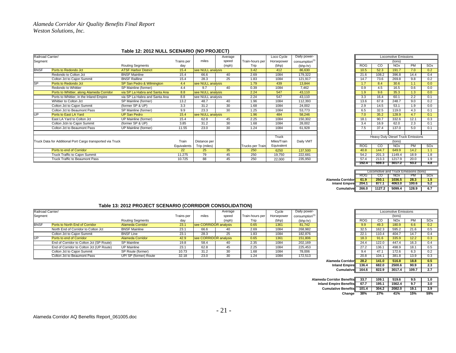#### **Table 12: 2012 NULL SCENARIO (NO PROJECT)**

|                                                            |                               |                 |              | Average     |                                                                                                       | Loco Cycle  | Daily power-                     |            |                |                       |           |                                                                  |
|------------------------------------------------------------|-------------------------------|-----------------|--------------|-------------|-------------------------------------------------------------------------------------------------------|-------------|----------------------------------|------------|----------------|-----------------------|-----------|------------------------------------------------------------------|
|                                                            |                               | Trains per      | miles        | speed       | Train-hours per                                                                                       | Horsepower  | consumption <sup>(1)</sup>       |            |                | (tons)                |           |                                                                  |
|                                                            | <b>Routing Segments</b>       | day             |              | (mph)       | Trip                                                                                                  | (bhp)       | (bhp-hr)                         | <b>ROG</b> | CO             | <b>NO<sub>x</sub></b> | <b>PM</b> | SOx                                                              |
| Ports to Redondo Jct                                       | <b>ATSF Harbor District</b>   | 15.4            |              |             | 3.42                                                                                                  | 412         | 86,630                           | 10.5       | 52.3           | 191.7                 | 7.0       | 0.2                                                              |
| Redondo to Colton Jct                                      | <b>BNSF Mainline</b>          | 15.4            | 66.6         | 40          | 2.69                                                                                                  | 1084        | 179,322                          | 21.6       | 108.2          | 396.8                 | 14.4      | 0.4                                                              |
| Colton Jct to Cajon Summit                                 | <b>BNSF Railline</b>          | 15.4            | 28.3         | 25          | 1.83                                                                                                  | 1084        | 121,917                          | 14.7       | 73.6           | 269.8                 | 9.8       | 0.2                                                              |
| Ports to Redondo Jct                                       | SP San Pedro & Wilmington     | 4.4             |              |             | 1.79                                                                                                  | 439         | 13,844                           | 1.7        | 8.4            | 30.6                  | 1.1       | 0.0                                                              |
| Redondo to Whittier                                        | SP Mainline (former)          | 4.4             | 9.7          | 40          | 0.39                                                                                                  | 1084        | 7,462                            | 0.9        | 4.5            | 16.5                  | 0.6       | 0.0                                                              |
| Ports to Whittier, along Alameda Corridor                  | via SP La Habra and Santa Ana | 8.8             |              |             | 2.24                                                                                                  | 547         | 43.110                           | 1.9        | 9.6            | 35.3                  | 1.3       | 0.0                                                              |
| Ports to Whittier, in the Inland Empire                    | via SP La Habra and Santa Ana | 8.8             |              |             | 2.24                                                                                                  | 547         | 43.110                           | 3.3        | 16.4           | 60.1                  | 2.2       | 0.1                                                              |
| Whittier to Colton Jct                                     | SP Mainline (former)          | 13.2            | 48.7         | 40          | 1.96                                                                                                  | 1084        | 112,393                          | 13.6       | 67.8           | 248.7                 | 9.0       | 0.2                                                              |
| Colton Jct to Cajon Summit                                 | (former SP & UP)              | 3.3             | 31.2         | 30          | 1.68                                                                                                  | 1084        | 24,002                           | 2.9        | 14.5           | 53.1                  | 1.9       | 0.0                                                              |
| Colton Jct to Beaumont Pass                                | SP Mainline (former)          | 9.9             | 23.3         | 30          | 1.25                                                                                                  | 1084        | 53,773                           | 6.5        | 32.5           | 119.0                 | 4.3       | 0.1                                                              |
| Ports to East LA Yard                                      | <b>UP San Pedro</b>           | 15.4            |              |             | 1.96                                                                                                  | 484         | 58,246                           | 7.0        | 35.2           | 128.9                 | 4.7       | 0.1                                                              |
| East LA Yard to Colton Jct                                 | UP Mainline (former)          | 15.4            | 62.8         | 45          | 2.25                                                                                                  | 1084        | 150,302                          | 18.1       | 90.7           | 332.6                 | 12.1      | 0.3                                                              |
| Colton Jctn to Cajon Summit                                | (former SP & UP)              | 3.85            | 31.2         | 30          | 1.68                                                                                                  | 1084        | 28,002                           | 3.4        | 16.9           | 62.0                  | 2.3       | 0.1                                                              |
| Colton Jct to Beaumont Pass                                | UP Mainline (former)          | 11.55           | 23.0         | 30          | 1.24                                                                                                  | 1084        | 61,928                           | 7.5        | 37.4           | 137.0                 | 5.0       | 0.1                                                              |
|                                                            |                               |                 |              |             |                                                                                                       |             |                                  |            |                |                       |           |                                                                  |
| Truck Data for Additional Port Cargo transported via Truck |                               | Train           | Distance per |             |                                                                                                       | Miles/Train | Daily VMT                        |            |                | (tons)                |           |                                                                  |
|                                                            |                               |                 | Trip (miles) |             |                                                                                                       | Equivalent  |                                  | <b>ROG</b> | $\overline{c}$ | <b>NO<sub>x</sub></b> | <b>PM</b> | SOx                                                              |
| Ports to end of Corridor                                   |                               | 22 <sub>2</sub> | 25           | 35          | 250                                                                                                   | 6250        | 137,500                          | 40.8       | 144.7          | 649.9                 | 14.2      | 1.1                                                              |
| Truck Traffic to Cajon Summit                              |                               | 11.275          | 79           | 45          | 250                                                                                                   | 19,750      | 222,681                          | 54.2       | 201.3          | 1149.4                | 18.9      | 1.8                                                              |
| Truck Traffic to Beaumont Pass                             |                               | 10.725          | 88           | 45          | 250                                                                                                   | 22,000      | 235,950                          | 57.4       | 213.3          | 1217.9                | 20.0      | 1.9                                                              |
| Segment                                                    | Railroad Carrier/             |                 |              | Equivalents | see NULL analysis<br>see NULL analysis<br>see NULL analysis<br>see NULL analysis<br>see NULL analysis |             | Truck<br><b>Trucks per Train</b> |            |                |                       |           | <b>Locomotive Emissions</b><br>Heavy Duty Diesel Truck Emissions |

|                         | Loco Cycle  | Daily power-               |
|-------------------------|-------------|----------------------------|
| urs per                 | Horsepower  | consumption <sup>(1)</sup> |
| p                       | (bhp)       | (bhp-hr)                   |
| $\overline{2}$          | 412         | 86,630                     |
| i9                      | 1084        | 179,322                    |
| $\overline{3}$          | 1084        | 121,917                    |
| g,                      | 439         | 13,844                     |
| ig.                     | 1084        | 7,462                      |
| $\overline{4}$          | 547         | 43,110                     |
| $\overline{4}$          | 547         | 43,110                     |
| 16                      | 1084        | 112,393                    |
| i8                      | 1084        | 24,002                     |
| $\overline{5}$          | 1084        | 53,773                     |
| $\overline{6}$          | 484         | 58,246                     |
| :5                      | 1084        | 150,302                    |
| $\overline{8}$          | 1084        | 28,002                     |
| Ά                       | 1084        | 61,928                     |
|                         |             |                            |
|                         | Truck       |                            |
|                         | Miles/Train | Daily VMT                  |
| er Trainl               | Equivalent  |                            |
| $\overline{0}$          | 6250        | 137,500                    |
| $\overline{\mathbf{0}}$ | 19,750      | 222,681                    |
| $\overline{0}$          | 22,000      | 235,950                    |
|                         |             |                            |

|                      |                                      | Locomotive and Truck Emissions (tons) |        |       |     |  |  |  |  |  |  |  |
|----------------------|--------------------------------------|---------------------------------------|--------|-------|-----|--|--|--|--|--|--|--|
|                      | <b>ROG</b><br><b>NOx</b><br>PМ<br>CO |                                       |        |       |     |  |  |  |  |  |  |  |
| Alameda Corridor     | 61.9                                 | 250.1                                 | 1036.5 | 28.3  | 1.5 |  |  |  |  |  |  |  |
| <b>Inland Empire</b> | 204.1                                | 877.1                                 | 4063.0 | 100.6 | 5.2 |  |  |  |  |  |  |  |
| Cumulative           | 266.0                                | 1127.2                                | 5099.4 | 128.9 | 6.7 |  |  |  |  |  |  |  |

#### **Table 13: 2012 PROJECT SCENARIO (CORRIDOR CONSOLIDATION)**

| Railroad Carrier/ |                                          |                         |            |                       | Average |                   | Cycle      | Daily power-               |            |       | Locomotive Emissions  |      |     |
|-------------------|------------------------------------------|-------------------------|------------|-----------------------|---------|-------------------|------------|----------------------------|------------|-------|-----------------------|------|-----|
| Segment           |                                          |                         | Trains per | miles                 | speed   | I Train-hours per | Horsepower | consumption <sup>(1)</sup> |            |       | (tons)                |      |     |
|                   |                                          | <b>Routing Segments</b> | day        |                       | (mph)   | Trip              | (bhp)      | (bhp-hr)                   | <b>ROG</b> | CO    | <b>NO<sub>x</sub></b> | PM   | sox |
| <b>BNSF</b>       | Ports to North End of Corridor           | Alameda Corridor        | 23.1       | see CORRIDOR analysis |         | 0.65              | 1361       | 81,742                     | 9.9        | 49.3  | 180.9                 | 6.6  | 0.2 |
|                   | North End of Corridor to Colton Jct      | <b>BNSF Mainline</b>    | 23.1       | 66.6                  | 40      | 2.69              | 1084       | 268.982                    | 32.5       | 162.3 | 595.2                 | 21.6 | 0.5 |
|                   | Colton Jct to Cajon Summit               | <b>BNSF Line</b>        | 23.1       | 28.3                  | 25      | 1.83              | 1084       | 182,876                    | 22.1       | 110.4 | 404.7                 | 14.7 | 0.4 |
|                   | Ports to end of Corridor                 | Alameda Corridor        | 42.9       | see CORRIDOR analysis |         | 0.65              | 1361       | 151,806                    | 18.3       | 91.6  | 335.9                 | 12.2 | 0.3 |
|                   | End of Corridor to Colton Jct (SP Route) | SP Mainline             | 19.8       | 58.4                  | 40      | 2.35              | 1084       | 202,169                    | 24.4       | 122.0 | 447.4                 | 16.3 | 0.4 |
|                   | End of Corridor to Colton Jct (UP Route) | UP Mainline             | 23.1       | 62.8                  | 45      | 2.25              | 1084       | 225.453                    | 27.2       | 136.1 | 498.9                 | 18.1 | 0.5 |
|                   | Colton Jct to Cajon Summit               | SP Route (former)       | 10.73      | 31.2                  | 30      | 1.68              | 1084       | 78,006                     | 9.4        | 47.1  | 172.6                 | 6.3  | 0.2 |
|                   | Colton Jct to Beaumont Pass              | UP/ SP (former) Route   | 32.18      | 23.0                  | 30      | 24. ا             | 1084       | 172,513                    | 20.8       | 104.1 | 381.8                 | 13.9 | 0.3 |

| r                                | <b>Locomotive Emissions</b> |       |                       |       |     |  |  |  |  |
|----------------------------------|-----------------------------|-------|-----------------------|-------|-----|--|--|--|--|
| $n^{(1)}$                        | (tons)                      |       |                       |       |     |  |  |  |  |
|                                  | <b>ROG</b>                  | CО    | <b>NO<sub>x</sub></b> | PM    | SOx |  |  |  |  |
|                                  | 9.9                         | 49.3  | 180.9                 | 6.6   | 0.2 |  |  |  |  |
|                                  | 32.5                        | 162.3 | 595.2                 | 21.6  | 0.5 |  |  |  |  |
|                                  | 22.1                        | 110.4 | 404.7                 | 14.7  | 0.4 |  |  |  |  |
|                                  | 18.3                        | 91.6  | 335.9                 | 12.2  | 0.3 |  |  |  |  |
|                                  | 24.4                        | 122.0 | 447.4                 | 16.3  | 0.4 |  |  |  |  |
|                                  | 27.2                        | 136.1 | 498.9                 | 18.1  | 0.5 |  |  |  |  |
|                                  | 9.4                         | 47.1  | 172.6                 | 6.3   | 0.2 |  |  |  |  |
|                                  | 20.8                        | 104.1 | 381.8                 | 13.9  | 0.3 |  |  |  |  |
| <b>Alameda Corridor</b>          | 28.2                        | 141.0 | 516.8                 | 18.8  | 0.5 |  |  |  |  |
| <b>Inland Empire</b>             | 136.4                       | 682.0 | 2500.6                | 90.9  | 2.3 |  |  |  |  |
| Cumulative                       | 164.6                       | 822.9 | 3017.4                | 109.7 | 2.7 |  |  |  |  |
|                                  |                             |       |                       |       |     |  |  |  |  |
| <b>Alameda Corridor Benefits</b> | 33.7                        | 109.1 | 519.6                 | 9.5   | 1.0 |  |  |  |  |
| <b>Inland Empire Benefits</b>    | 67.7                        | 195.1 | 1562.4                | 9.7   | 3.0 |  |  |  |  |
| <b>Cumulative Benefits</b>       | 101.4                       | 304.2 | 2082.0                | 19.1  | 3.9 |  |  |  |  |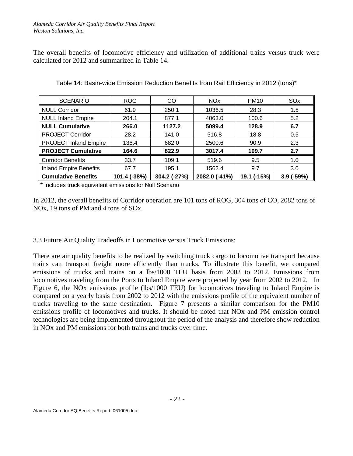The overall benefits of locomotive efficiency and utilization of additional trains versus truck were calculated for 2012 and summarized in Table 14.

| <b>SCENARIO</b>               | <b>ROG</b>   | CO.          | <b>NO<sub>x</sub></b> | <b>PM10</b>      | SO <sub>x</sub> |
|-------------------------------|--------------|--------------|-----------------------|------------------|-----------------|
| <b>NULL Corridor</b>          | 61.9         | 250.1        | 1036.5                | 28.3             | $1.5\,$         |
| <b>NULL Inland Empire</b>     | 204.1        | 877.1        | 4063.0                | 100.6            | 5.2             |
| <b>NULL Cumulative</b>        | 266.0        | 1127.2       | 5099.4                | 128.9            | 6.7             |
| <b>PROJECT Corridor</b>       | 28.2         | 141.0        | 516.8                 | 18.8             | 0.5             |
| <b>PROJECT Inland Empire</b>  | 136.4        | 682.0        | 2500.6                | 90.9             | 2.3             |
| <b>PROJECT Cumulative</b>     | 164.6        | 822.9        | 3017.4                | 109.7            | 2.7             |
| <b>Corridor Benefits</b>      | 33.7         | 109.1        | 519.6                 | 9.5              | 1.0             |
| <b>Inland Empire Benefits</b> | 67.7         | 195.1        | 1562.4                | 9.7              | 3.0             |
| <b>Cumulative Benefits</b>    | 101.4 (-38%) | 304.2 (-27%) | 2082.0 (-41%)         | $(-15%)$<br>19.1 | 3.9 (-59%)      |

Table 14: Basin-wide Emission Reduction Benefits from Rail Efficiency in 2012 (tons)\*

\* Includes truck equivalent emissions for Null Scenario

In 2012, the overall benefits of Corridor operation are 101 tons of ROG, 304 tons of CO, 2082 tons of NOx, 19 tons of PM and 4 tons of SOx.

3.3 Future Air Quality Tradeoffs in Locomotive versus Truck Emissions:

There are air quality benefits to be realized by switching truck cargo to locomotive transport because trains can transport freight more efficiently than trucks. To illustrate this benefit, we compared emissions of trucks and trains on a lbs/1000 TEU basis from 2002 to 2012. Emissions from locomotives traveling from the Ports to Inland Empire were projected by year from 2002 to 2012. In Figure 6, the NOx emissions profile (lbs/1000 TEU) for locomotives traveling to Inland Empire is compared on a yearly basis from 2002 to 2012 with the emissions profile of the equivalent number of trucks traveling to the same destination. Figure 7 presents a similar comparison for the PM10 emissions profile of locomotives and trucks. It should be noted that NOx and PM emission control technologies are being implemented throughout the period of the analysis and therefore show reduction in NOx and PM emissions for both trains and trucks over time.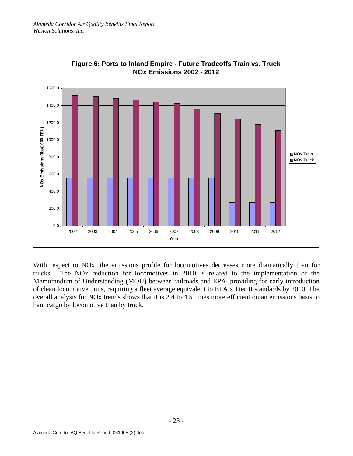

With respect to NOx, the emissions profile for locomotives decreases more dramatically than for trucks. The NOx reduction for locomotives in 2010 is related to the implementation of the Memorandum of Understanding (MOU) between railroads and EPA, providing for early introduction of clean locomotive units, requiring a fleet average equivalent to EPA's Tier II standards by 2010. The overall analysis for NOx trends shows that it is 2.4 to 4.5 times more efficient on an emissions basis to haul cargo by locomotive than by truck.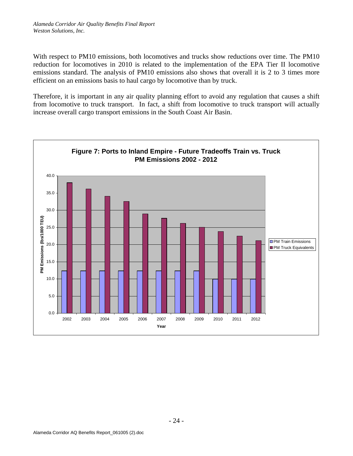With respect to PM10 emissions, both locomotives and trucks show reductions over time. The PM10 reduction for locomotives in 2010 is related to the implementation of the EPA Tier II locomotive emissions standard. The analysis of PM10 emissions also shows that overall it is 2 to 3 times more efficient on an emissions basis to haul cargo by locomotive than by truck.

Therefore, it is important in any air quality planning effort to avoid any regulation that causes a shift from locomotive to truck transport. In fact, a shift from locomotive to truck transport will actually increase overall cargo transport emissions in the South Coast Air Basin.

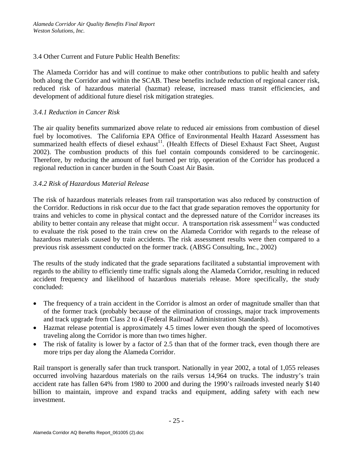### 3.4 Other Current and Future Public Health Benefits:

The Alameda Corridor has and will continue to make other contributions to public health and safety both along the Corridor and within the SCAB. These benefits include reduction of regional cancer risk, reduced risk of hazardous material (hazmat) release, increased mass transit efficiencies, and development of additional future diesel risk mitigation strategies.

### *3.4.1 Reduction in Cancer Risk*

The air quality benefits summarized above relate to reduced air emissions from combustion of diesel fuel by locomotives. The California EPA Office of Environmental Health Hazard Assessment has summarized health effects of diesel exhaust<sup>11</sup>. (Health Effects of Diesel Exhaust Fact Sheet, August 2002). The combustion products of this fuel contain compounds considered to be carcinogenic. Therefore, by reducing the amount of fuel burned per trip, operation of the Corridor has produced a regional reduction in cancer burden in the South Coast Air Basin.

### *3.4.2 Risk of Hazardous Material Release*

The risk of hazardous materials releases from rail transportation was also reduced by construction of the Corridor. Reductions in risk occur due to the fact that grade separation removes the opportunity for trains and vehicles to come in physical contact and the depressed nature of the Corridor increases its ability to better contain any release that might occur. A transportation risk assessment<sup>12</sup> was conducted to evaluate the risk posed to the train crew on the Alameda Corridor with regards to the release of hazardous materials caused by train accidents. The risk assessment results were then compared to a previous risk assessment conducted on the former track. (ABSG Consulting, Inc., 2002)

The results of the study indicated that the grade separations facilitated a substantial improvement with regards to the ability to efficiently time traffic signals along the Alameda Corridor, resulting in reduced accident frequency and likelihood of hazardous materials release. More specifically, the study concluded:

- The frequency of a train accident in the Corridor is almost an order of magnitude smaller than that of the former track (probably because of the elimination of crossings, major track improvements and track upgrade from Class 2 to 4 (Federal Railroad Administration Standards).
- Hazmat release potential is approximately 4.5 times lower even though the speed of locomotives traveling along the Corridor is more than two times higher.
- The risk of fatality is lower by a factor of 2.5 than that of the former track, even though there are more trips per day along the Alameda Corridor.

Rail transport is generally safer than truck transport. Nationally in year 2002, a total of 1,055 releases occurred involving hazardous materials on the rails versus 14,964 on trucks. The industry's train accident rate has fallen 64% from 1980 to 2000 and during the 1990's railroads invested nearly \$140 billion to maintain, improve and expand tracks and equipment, adding safety with each new investment.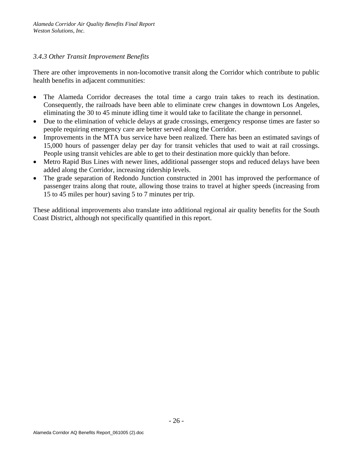### *3.4.3 Other Transit Improvement Benefits*

There are other improvements in non-locomotive transit along the Corridor which contribute to public health benefits in adjacent communities:

- The Alameda Corridor decreases the total time a cargo train takes to reach its destination. Consequently, the railroads have been able to eliminate crew changes in downtown Los Angeles, eliminating the 30 to 45 minute idling time it would take to facilitate the change in personnel.
- Due to the elimination of vehicle delays at grade crossings, emergency response times are faster so people requiring emergency care are better served along the Corridor.
- Improvements in the MTA bus service have been realized. There has been an estimated savings of 15,000 hours of passenger delay per day for transit vehicles that used to wait at rail crossings. People using transit vehicles are able to get to their destination more quickly than before.
- Metro Rapid Bus Lines with newer lines, additional passenger stops and reduced delays have been added along the Corridor, increasing ridership levels.
- The grade separation of Redondo Junction constructed in 2001 has improved the performance of passenger trains along that route, allowing those trains to travel at higher speeds (increasing from 15 to 45 miles per hour) saving 5 to 7 minutes per trip.

These additional improvements also translate into additional regional air quality benefits for the South Coast District, although not specifically quantified in this report.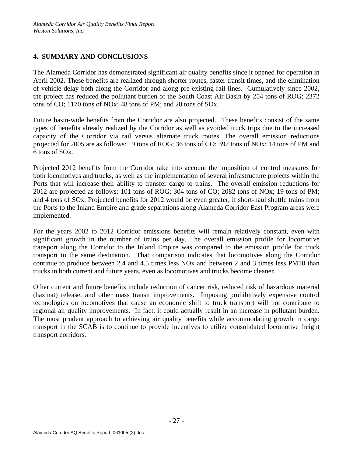## **4. SUMMARY AND CONCLUSIONS**

The Alameda Corridor has demonstrated significant air quality benefits since it opened for operation in April 2002. These benefits are realized through shorter routes, faster transit times, and the elimination of vehicle delay both along the Corridor and along pre-existing rail lines. Cumulatively since 2002, the project has reduced the pollutant burden of the South Coast Air Basin by 254 tons of ROG; 2372 tons of CO; 1170 tons of NOx; 48 tons of PM; and 20 tons of SOx.

Future basin-wide benefits from the Corridor are also projected. These benefits consist of the same types of benefits already realized by the Corridor as well as avoided truck trips due to the increased capacity of the Corridor via rail versus alternate truck routes. The overall emission reductions projected for 2005 are as follows: 19 tons of ROG; 36 tons of CO; 397 tons of NOx; 14 tons of PM and 6 tons of SOx.

Projected 2012 benefits from the Corridor take into account the imposition of control measures for both locomotives and trucks, as well as the implementation of several infrastructure projects within the Ports that will increase their ability to transfer cargo to trains. The overall emission reductions for 2012 are projected as follows: 101 tons of ROG; 304 tons of CO; 2082 tons of NOx; 19 tons of PM; and 4 tons of SOx. Projected benefits for 2012 would be even greater, if short-haul shuttle trains from the Ports to the Inland Empire and grade separations along Alameda Corridor East Program areas were implemented.

For the years 2002 to 2012 Corridor emissions benefits will remain relatively constant, even with significant growth in the number of trains per day. The overall emission profile for locomotive transport along the Corridor to the Inland Empire was compared to the emission profile for truck transport to the same destination. That comparison indicates that locomotives along the Corridor continue to produce between 2.4 and 4.5 times less NOx and between 2 and 3 times less PM10 than trucks in both current and future years, even as locomotives and trucks become cleaner.

Other current and future benefits include reduction of cancer risk, reduced risk of hazardous material (hazmat) release, and other mass transit improvements. Imposing prohibitively expensive control technologies on locomotives that cause an economic shift to truck transport will not contribute to regional air quality improvements. In fact, it could actually result in an increase in pollutant burden. The most prudent approach to achieving air quality benefits while accommodating growth in cargo transport in the SCAB is to continue to provide incentives to utilize consolidated locomotive freight transport corridors.